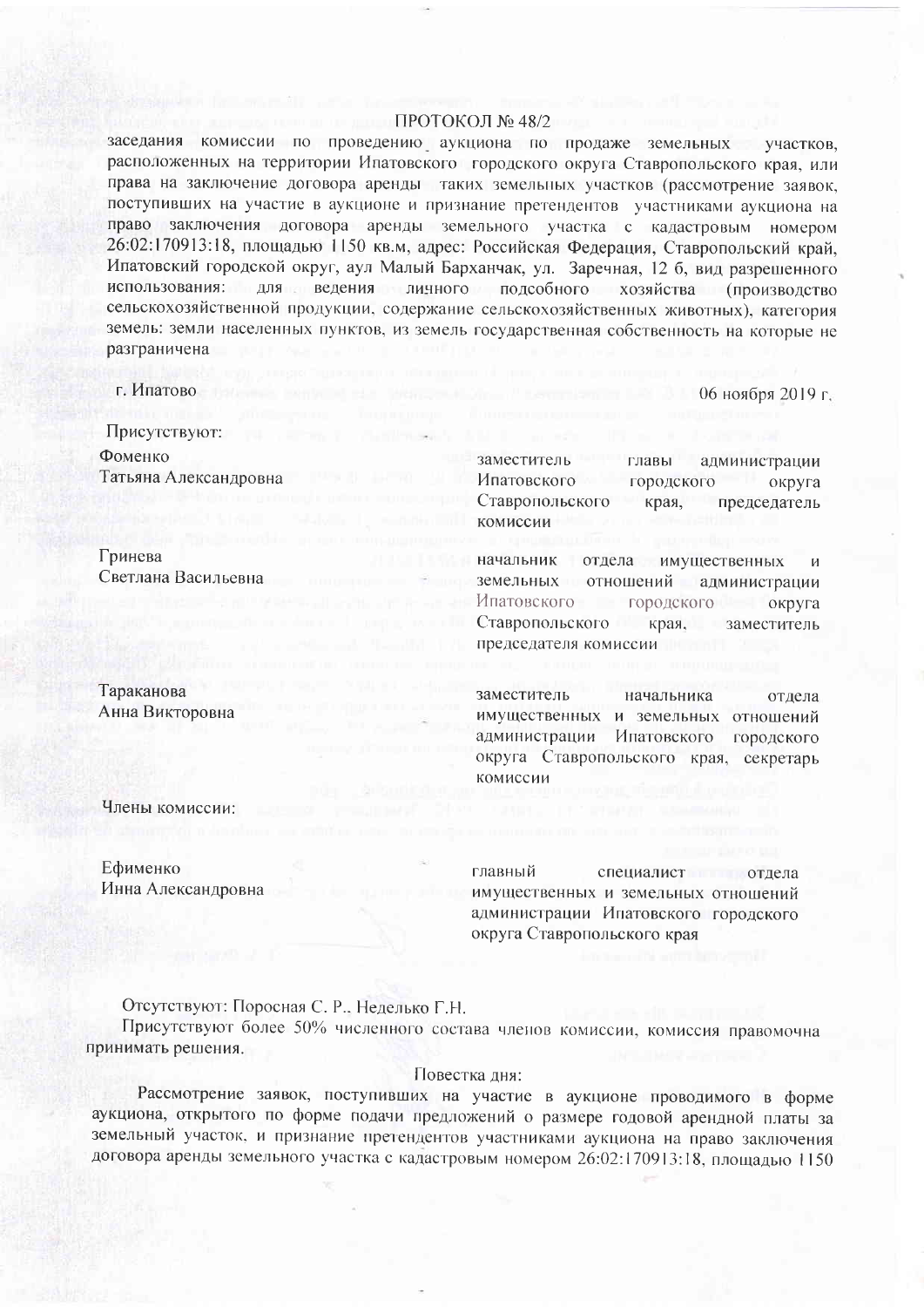## ПРОТОКОЛ № 48/2

заседания комиссии по проведению аукциона по продаже земельных участков. расположенных на территории Ипатовского городского округа Ставропольского края, или права на заключение договора аренды таких земельных участков (рассмотрение заявок, поступивших на участие в аукционе и признание претендентов участниками аукциона на право заключения договора аренды земельного участка с кадастровым номером 26:02:170913:18, площадью 1150 кв.м, адрес: Российская Федерация, Ставропольский край, Ипатовский городской округ, аул Малый Барханчак, ул. Заречная, 12 б. вид разрешенного использования: для ведения личного подсобного хозяйства (произволетво сельскохозяйственной продукции, содержание сельскохозяйственных животных), категория земель: земли населенных пунктов, из земель государственная собственность на которые не разграничена

заместитель

Ипатовского

комиссии

начальник

земельных

Ипатовского

Ставропольского

председателя комиссии

Ставропольского

г. Ипатово

06 ноября 2019 г.

администрации

администрации

заместитель

предселатель

округа

округа

И

Присутствуют: Фоменко Татьяна Александровна

Гринева Светлана Васильевна

Тараканова Анна Викторовна

заместитель начальника отдела имущественных и земельных отношений администрации Ипатовского городского округа Ставропольского края, секретарь комиссии

главы

отношений

городского

отдела имущественных

городского

края.

края,

Члены комиссии:

Ефименко Инна Александровна

главный специалист отлела имущественных и земельных отношений администрации Ипатовского городского округа Ставропольского края

Отсутствуют: Поросная С. Р., Неделько Г.Н.

Присутствуют более 50% численного состава членов комиссии, комиссия правомочна принимать решения.

## Повестка дня:

Рассмотрение заявок, поступивших на участие в аукционе проводимого в форме аукциона, открытого по форме подачи предложений о размере годовой арендной платы за земельный участок, и признание претендентов участниками аукциона на право заключения договора аренды земельного участка с кадастровым номером 26:02:170913:18, площадью 1150